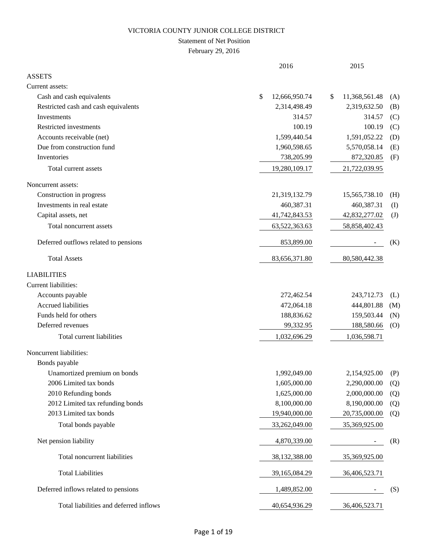### Statement of Net Position

February 29, 2016

|                                        | 2016                | 2015                |              |
|----------------------------------------|---------------------|---------------------|--------------|
| <b>ASSETS</b>                          |                     |                     |              |
| Current assets:                        |                     |                     |              |
| Cash and cash equivalents              | \$<br>12,666,950.74 | 11,368,561.48<br>\$ | (A)          |
| Restricted cash and cash equivalents   | 2,314,498.49        | 2,319,632.50        | (B)          |
| Investments                            | 314.57              | 314.57              | (C)          |
| Restricted investments                 | 100.19              | 100.19              | (C)          |
| Accounts receivable (net)              | 1,599,440.54        | 1,591,052.22        | (D)          |
| Due from construction fund             | 1,960,598.65        | 5,570,058.14        | (E)          |
| Inventories                            | 738,205.99          | 872,320.85          | (F)          |
| Total current assets                   | 19,280,109.17       | 21,722,039.95       |              |
| Noncurrent assets:                     |                     |                     |              |
| Construction in progress               | 21,319,132.79       | 15,565,738.10       | (H)          |
| Investments in real estate             | 460,387.31          | 460,387.31          | $($ $\Gamma$ |
| Capital assets, net                    | 41,742,843.53       | 42,832,277.02       | $\mathrm{J}$ |
| Total noncurrent assets                | 63,522,363.63       | 58,858,402.43       |              |
| Deferred outflows related to pensions  | 853,899.00          |                     | (K)          |
| <b>Total Assets</b>                    | 83,656,371.80       | 80,580,442.38       |              |
| <b>LIABILITIES</b>                     |                     |                     |              |
| Current liabilities:                   |                     |                     |              |
| Accounts payable                       | 272,462.54          | 243,712.73          | (L)          |
| <b>Accrued liabilities</b>             | 472,064.18          | 444,801.88          | (M)          |
| Funds held for others                  | 188,836.62          | 159,503.44          | (N)          |
| Deferred revenues                      | 99,332.95           | 188,580.66          | (0)          |
| Total current liabilities              | 1,032,696.29        | 1,036,598.71        |              |
| Noncurrent liabilities:                |                     |                     |              |
| Bonds payable                          |                     |                     |              |
| Unamortized premium on bonds           | 1,992,049.00        | 2,154,925.00        | (P)          |
| 2006 Limited tax bonds                 | 1,605,000.00        | 2,290,000.00        | (Q)          |
| 2010 Refunding bonds                   | 1,625,000.00        | 2,000,000.00        | (Q)          |
| 2012 Limited tax refunding bonds       | 8,100,000.00        | 8,190,000.00        | (Q)          |
| 2013 Limited tax bonds                 | 19,940,000.00       | 20,735,000.00       | (Q)          |
| Total bonds payable                    | 33,262,049.00       | 35,369,925.00       |              |
| Net pension liability                  | 4,870,339.00        |                     | (R)          |
| Total noncurrent liabilities           | 38, 132, 388.00     | 35,369,925.00       |              |
| <b>Total Liabilities</b>               | 39,165,084.29       | 36,406,523.71       |              |
| Deferred inflows related to pensions   | 1,489,852.00        |                     | (S)          |
| Total liabilities and deferred inflows | 40,654,936.29       | 36,406,523.71       |              |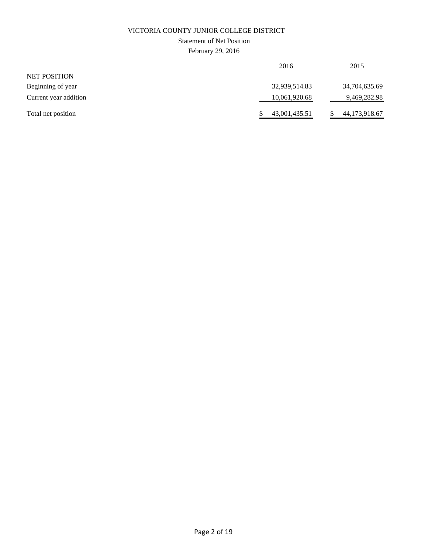### Statement of Net Position

February 29, 2016

| 2016          | 2015          |
|---------------|---------------|
|               |               |
| 32,939,514.83 | 34,704,635.69 |
| 10,061,920.68 | 9,469,282.98  |
| 43,001,435.51 | 44,173,918.67 |
|               |               |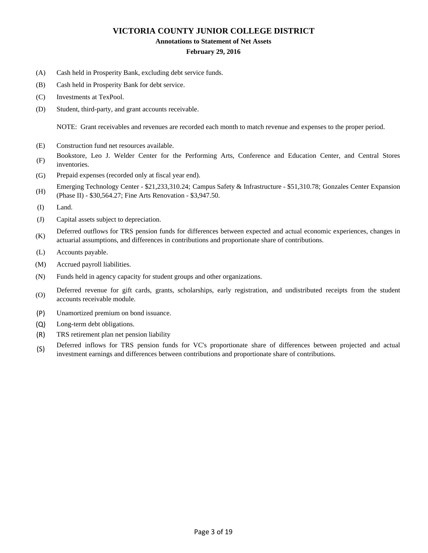#### **Annotations to Statement of Net Assets**

#### **February 29, 2016**

- (A) Cash held in Prosperity Bank, excluding debt service funds.
- (B) Cash held in Prosperity Bank for debt service.
- (C) Investments at TexPool.
- (D) Student, third-party, and grant accounts receivable.

NOTE: Grant receivables and revenues are recorded each month to match revenue and expenses to the proper period.

- (E) Construction fund net resources available.
- (F) Bookstore, Leo J. Welder Center for the Performing Arts, Conference and Education Center, and Central Stores inventories.
- (G) Prepaid expenses (recorded only at fiscal year end).
- (H) Emerging Technology Center - \$21,233,310.24; Campus Safety & Infrastructure - \$51,310.78; Gonzales Center Expansion (Phase II) - \$30,564.27; Fine Arts Renovation - \$3,947.50.
- (I) Land.
- (J) Capital assets subject to depreciation.
- (K) Deferred outflows for TRS pension funds for differences between expected and actual economic experiences, changes in actuarial assumptions, and differences in contributions and proportionate share of contributions.
- (L) Accounts payable.
- (M) Accrued payroll liabilities.
- (N) Funds held in agency capacity for student groups and other organizations.
- (O) Deferred revenue for gift cards, grants, scholarships, early registration, and undistributed receipts from the student accounts receivable module.
- (P) Unamortized premium on bond issuance.
- (Q) Long-term debt obligations.
- (R) TRS retirement plan net pension liability
- (S) Deferred inflows for TRS pension funds for VC's proportionate share of differences between projected and actual investment earnings and differences between contributions and proportionate share of contributions.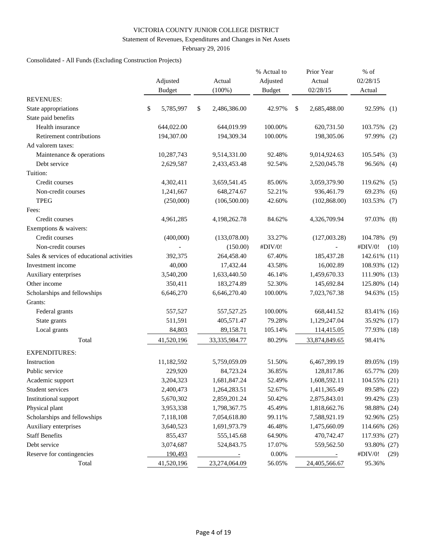#### Statement of Revenues, Expenditures and Changes in Net Assets

February 29, 2016

# Consolidated - All Funds (Excluding Construction Projects)

|                                            |    | Adjusted<br><b>Budget</b> | Actual<br>$(100\%)$ | % Actual to<br>Adjusted<br><b>Budget</b> | Prior Year<br>Actual<br>02/28/15 | % of<br>02/28/15<br>Actual |      |
|--------------------------------------------|----|---------------------------|---------------------|------------------------------------------|----------------------------------|----------------------------|------|
| <b>REVENUES:</b>                           |    |                           |                     |                                          |                                  |                            |      |
| State appropriations                       | \$ | 5,785,997                 | \$<br>2,486,386.00  | 42.97%                                   | \$<br>2,685,488.00               | 92.59%                     | (1)  |
| State paid benefits                        |    |                           |                     |                                          |                                  |                            |      |
| Health insurance                           |    | 644,022.00                | 644,019.99          | 100.00%                                  | 620,731.50                       | 103.75%                    | (2)  |
| Retirement contributions                   |    | 194,307.00                | 194,309.34          | 100.00%                                  | 198,305.06                       | 97.99%                     | (2)  |
| Ad valorem taxes:                          |    |                           |                     |                                          |                                  |                            |      |
| Maintenance & operations                   |    | 10,287,743                | 9,514,331.00        | 92.48%                                   | 9,014,924.63                     | 105.54%                    | (3)  |
| Debt service                               |    | 2,629,587                 | 2,433,453.48        | 92.54%                                   | 2,520,045.78                     | 96.56%                     | (4)  |
| Tuition:                                   |    |                           |                     |                                          |                                  |                            |      |
| Credit courses                             |    | 4,302,411                 | 3,659,541.45        | 85.06%                                   | 3,059,379.90                     | 119.62%                    | (5)  |
| Non-credit courses                         |    | 1,241,667                 | 648,274.67          | 52.21%                                   | 936,461.79                       | 69.23%                     | (6)  |
| <b>TPEG</b>                                |    | (250,000)                 | (106, 500.00)       | 42.60%                                   | (102, 868.00)                    | 103.53%                    | (7)  |
| Fees:                                      |    |                           |                     |                                          |                                  |                            |      |
| Credit courses                             |    | 4,961,285                 | 4,198,262.78        | 84.62%                                   | 4,326,709.94                     | 97.03%                     | (8)  |
| Exemptions & waivers:                      |    |                           |                     |                                          |                                  |                            |      |
| Credit courses                             |    | (400,000)                 | (133,078.00)        | 33.27%                                   | (127,003.28)                     | 104.78%                    | (9)  |
| Non-credit courses                         |    |                           | (150.00)            | #DIV/0!                                  |                                  | #DIV/0!                    | (10) |
| Sales & services of educational activities |    | 392,375                   | 264,458.40          | 67.40%                                   | 185,437.28                       | 142.61% (11)               |      |
| Investment income                          |    | 40,000                    | 17,432.44           | 43.58%                                   | 16,002.89                        | 108.93%                    | (12) |
| Auxiliary enterprises                      |    | 3,540,200                 | 1,633,440.50        | 46.14%                                   | 1,459,670.33                     | 111.90% (13)               |      |
| Other income                               |    | 350,411                   | 183,274.89          | 52.30%                                   | 145,692.84                       | 125.80% (14)               |      |
| Scholarships and fellowships               |    | 6,646,270                 | 6,646,270.40        | 100.00%                                  | 7,023,767.38                     | 94.63% (15)                |      |
| Grants:                                    |    |                           |                     |                                          |                                  |                            |      |
| Federal grants                             |    | 557,527                   | 557,527.25          | 100.00%                                  | 668,441.52                       | 83.41% (16)                |      |
| State grants                               |    | 511,591                   | 405,571.47          | 79.28%                                   | 1,129,247.04                     | 35.92% (17)                |      |
| Local grants                               |    | 84,803                    | 89,158.71           | 105.14%                                  | 114,415.05                       | 77.93% (18)                |      |
| Total                                      |    | 41,520,196                | 33, 335, 984. 77    | 80.29%                                   | 33,874,849.65                    | 98.41%                     |      |
| <b>EXPENDITURES:</b>                       |    |                           |                     |                                          |                                  |                            |      |
| Instruction                                |    | 11,182,592                | 5,759,059.09        | 51.50%                                   | 6,467,399.19                     | 89.05% (19)                |      |
| Public service                             |    | 229,920                   | 84,723.24           | 36.85%                                   | 128,817.86                       | 65.77% (20)                |      |
| Academic support                           |    | 3,204,323                 | 1,681,847.24        | 52.49%                                   | 1,608,592.11                     | 104.55% (21)               |      |
| Student services                           |    | 2,400,473                 | 1,264,283.51        | 52.67%                                   | 1,411,365.49                     | 89.58% (22)                |      |
| Institutional support                      |    | 5,670,302                 | 2,859,201.24        | 50.42%                                   | 2,875,843.01                     | 99.42% (23)                |      |
| Physical plant                             |    | 3,953,338                 | 1,798,367.75        | 45.49%                                   | 1,818,662.76                     | 98.88% (24)                |      |
| Scholarships and fellowships               |    | 7,118,108                 | 7,054,618.80        | 99.11%                                   | 7,588,921.19                     | 92.96% (25)                |      |
| Auxiliary enterprises                      |    | 3,640,523                 | 1,691,973.79        | 46.48%                                   | 1,475,660.09                     | 114.66% (26)               |      |
| <b>Staff Benefits</b>                      |    | 855,437                   | 555,145.68          | 64.90%                                   | 470,742.47                       | 117.93% (27)               |      |
| Debt service                               |    | 3,074,687                 | 524,843.75          | 17.07%                                   | 559,562.50                       | 93.80% (27)                |      |
| Reserve for contingencies                  |    | 190,493                   |                     | $0.00\%$                                 |                                  | #DIV/0!                    | (29) |
| Total                                      |    | 41,520,196                | 23,274,064.09       | 56.05%                                   | 24,405,566.67                    | 95.36%                     |      |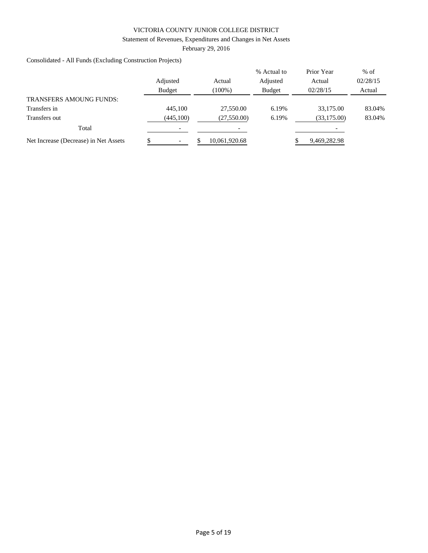#### Statement of Revenues, Expenditures and Changes in Net Assets

February 29, 2016

Consolidated - All Funds (Excluding Construction Projects)

|                                       | Adjusted<br><b>Budget</b> | Actual<br>$(100\%)$ | % Actual to<br>Adjusted<br><b>Budget</b> | Prior Year<br>Actual<br>02/28/15 | $%$ of<br>02/28/15<br>Actual |
|---------------------------------------|---------------------------|---------------------|------------------------------------------|----------------------------------|------------------------------|
| <b>TRANSFERS AMOUNG FUNDS:</b>        |                           |                     |                                          |                                  |                              |
| Transfers in                          | 445,100                   | 27,550.00           | 6.19%                                    | 33,175,00                        | 83.04%                       |
| Transfers out                         | (445,100)                 | (27,550.00)         | 6.19%                                    | (33, 175.00)                     | 83.04%                       |
| Total                                 |                           |                     |                                          |                                  |                              |
| Net Increase (Decrease) in Net Assets |                           | 10,061,920.68       |                                          | 9,469,282.98                     |                              |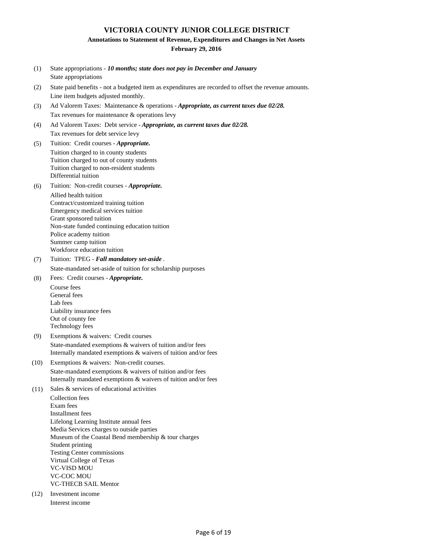#### **Annotations to Statement of Revenue, Expenditures and Changes in Net Assets**

#### **February 29, 2016**

- (1) State appropriations *10 months; state does not pay in December and January* State appropriations
- (2) State paid benefits not a budgeted item as expenditures are recorded to offset the revenue amounts. Line item budgets adjusted monthly.
- (3) Tax revenues for maintenance & operations levy Ad Valorem Taxes: Maintenance & operations - *Appropriate, as current taxes due 02/28.*
- (4) Ad Valorem Taxes: Debt service *Appropriate, as current taxes due 02/28.* Tax revenues for debt service levy
- (5) Tuition charged to in county students Tuition charged to out of county students Tuition charged to non-resident students Differential tuition Tuition: Credit courses - *Appropriate.*
- (6) Allied health tuition Contract/customized training tuition Tuition: Non-credit courses - *Appropriate.*

Emergency medical services tuition Grant sponsored tuition Non-state funded continuing education tuition Police academy tuition Summer camp tuition Workforce education tuition

- (7) State-mandated set-aside of tuition for scholarship purposes Tuition: TPEG - *Fall mandatory set-aside* .
- (8) Fees: Credit courses - *Appropriate.*

Course fees General fees Lab fees Liability insurance fees Out of county fee Technology fees

- (9) Exemptions & waivers: Credit courses State-mandated exemptions & waivers of tuition and/or fees Internally mandated exemptions & waivers of tuition and/or fees
- (10) Exemptions & waivers: Non-credit courses. State-mandated exemptions & waivers of tuition and/or fees Internally mandated exemptions & waivers of tuition and/or fees
- (11) Collection fees Exam fees Installment fees Lifelong Learning Institute annual fees Media Services charges to outside parties Museum of the Coastal Bend membership & tour charges Student printing Testing Center commissions Virtual College of Texas VC-VISD MOU VC-COC MOU VC-THECB SAIL Mentor Sales & services of educational activities
- (12) Investment income Interest income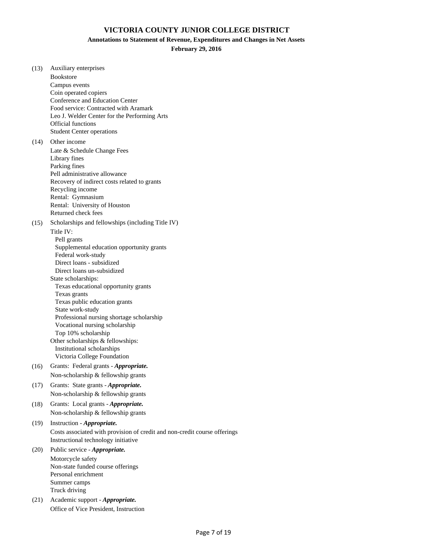**Annotations to Statement of Revenue, Expenditures and Changes in Net Assets**

**February 29, 2016**

(13) Auxiliary enterprises Bookstore Campus events Coin operated copiers Conference and Education Center Food service: Contracted with Aramark Leo J. Welder Center for the Performing Arts Official functions Student Center operations (14) Other income Late & Schedule Change Fees Library fines Parking fines Pell administrative allowance Recovery of indirect costs related to grants Recycling income Rental: Gymnasium Rental: University of Houston Returned check fees (15) Scholarships and fellowships (including Title IV) Title IV: Pell grants Supplemental education opportunity grants Federal work-study Direct loans - subsidized Direct loans un-subsidized State scholarships: Texas educational opportunity grants Texas grants Texas public education grants State work-study Professional nursing shortage scholarship Vocational nursing scholarship Top 10% scholarship Other scholarships & fellowships: Institutional scholarships Victoria College Foundation (16) Grants: Federal grants - *Appropriate.* Non-scholarship & fellowship grants (17) Grants: State grants - *Appropriate.*  Non-scholarship & fellowship grants (18) Grants: Local grants - *Appropriate.* Non-scholarship & fellowship grants (19) Instruction - *Appropriate.* Costs associated with provision of credit and non-credit course offerings Instructional technology initiative (20) Public service - *Appropriate.* Motorcycle safety Non-state funded course offerings Personal enrichment Summer camps Truck driving (21) Academic support - *Appropriate.* Office of Vice President, Instruction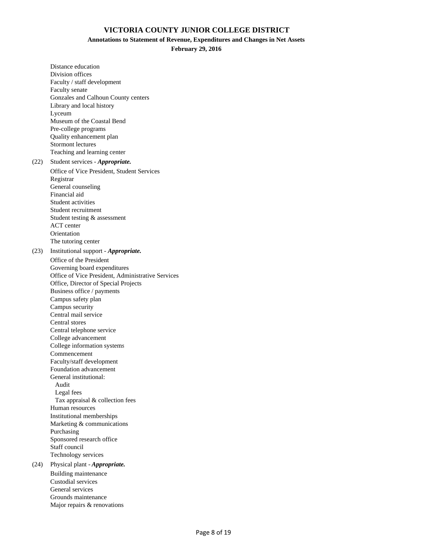#### **Annotations to Statement of Revenue, Expenditures and Changes in Net Assets**

**February 29, 2016**

Distance education Division offices Faculty / staff development Faculty senate Gonzales and Calhoun County centers Library and local history Lyceum Museum of the Coastal Bend Pre-college programs Quality enhancement plan Stormont lectures Teaching and learning center (22) Student services - *Appropriate.* Office of Vice President, Student Services Registrar General counseling Financial aid Student activities Student recruitment Student testing & assessment ACT center **Orientation** The tutoring center (23) Institutional support - *Appropriate.* Office of the President Governing board expenditures Office of Vice President, Administrative Services Office, Director of Special Projects Business office / payments Campus safety plan Campus security Central mail service Central stores Central telephone service College advancement College information systems Commencement Faculty/staff development Foundation advancement General institutional: Audit Legal fees Tax appraisal & collection fees Human resources Institutional memberships Marketing & communications Purchasing Sponsored research office Staff council Technology services (24) Physical plant - *Appropriate.* Building maintenance Custodial services General services Grounds maintenance Major repairs & renovations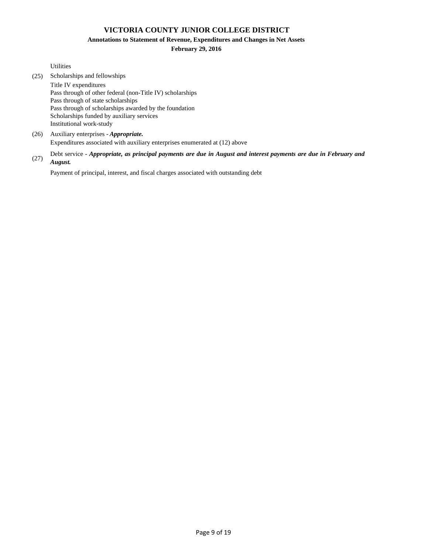**Annotations to Statement of Revenue, Expenditures and Changes in Net Assets**

#### **February 29, 2016**

Utilities

- (25) Scholarships and fellowships Title IV expenditures Pass through of other federal (non-Title IV) scholarships Pass through of state scholarships Pass through of scholarships awarded by the foundation Scholarships funded by auxiliary services Institutional work-study
- (26) Auxiliary enterprises *Appropriate.* Expenditures associated with auxiliary enterprises enumerated at (12) above
- (27) Debt service - *Appropriate, as principal payments are due in August and interest payments are due in February and August.*

Payment of principal, interest, and fiscal charges associated with outstanding debt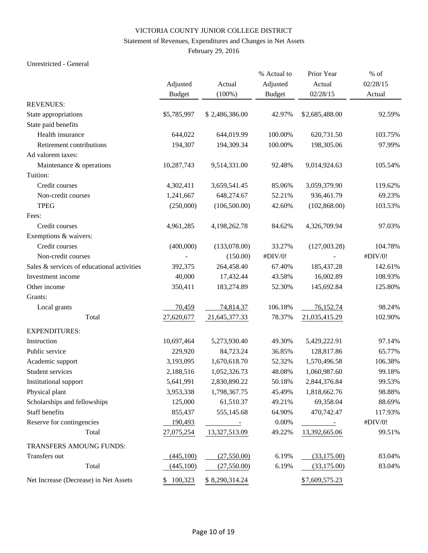#### Statement of Revenues, Expenditures and Changes in Net Assets

February 29, 2016

#### Unrestricted - General

|                                            |               |                | % Actual to   | Prior Year                        | $%$ of   |
|--------------------------------------------|---------------|----------------|---------------|-----------------------------------|----------|
|                                            | Adjusted      | Actual         | Adjusted      | Actual                            | 02/28/15 |
|                                            | <b>Budget</b> | $(100\%)$      | <b>Budget</b> | 02/28/15                          | Actual   |
| <b>REVENUES:</b>                           |               |                |               |                                   |          |
| State appropriations                       | \$5,785,997   | \$2,486,386.00 | 42.97%        | \$2,685,488.00                    | 92.59%   |
| State paid benefits                        |               |                |               |                                   |          |
| Health insurance                           | 644,022       | 644,019.99     | 100.00%       | 620,731.50                        | 103.75%  |
| Retirement contributions                   | 194,307       | 194,309.34     | 100.00%       | 198,305.06                        | 97.99%   |
| Ad valorem taxes:                          |               |                |               |                                   |          |
| Maintenance & operations                   | 10,287,743    | 9,514,331.00   | 92.48%        | 9,014,924.63                      | 105.54%  |
| Tuition:                                   |               |                |               |                                   |          |
| Credit courses                             | 4,302,411     | 3,659,541.45   | 85.06%        | 3,059,379.90                      | 119.62%  |
| Non-credit courses                         | 1,241,667     | 648,274.67     | 52.21%        | 936,461.79                        | 69.23%   |
| <b>TPEG</b>                                | (250,000)     | (106, 500.00)  | 42.60%        | (102, 868.00)                     | 103.53%  |
| Fees:                                      |               |                |               |                                   |          |
| Credit courses                             | 4,961,285     | 4,198,262.78   | 84.62%        | 4,326,709.94                      | 97.03%   |
| Exemptions & waivers:                      |               |                |               |                                   |          |
| Credit courses                             | (400,000)     | (133,078.00)   | 33.27%        | (127,003.28)                      | 104.78%  |
| Non-credit courses                         |               | (150.00)       | #DIV/0!       |                                   | #DIV/0!  |
| Sales & services of educational activities | 392,375       | 264,458.40     | 67.40%        | 185,437.28                        | 142.61%  |
| Investment income                          | 40,000        | 17,432.44      | 43.58%        | 16,002.89                         | 108.93%  |
| Other income                               | 350,411       | 183,274.89     | 52.30%        | 145,692.84                        | 125.80%  |
| Grants:                                    |               |                |               |                                   |          |
| Local grants                               | 70,459        | 74,814.37      | 106.18%       | 76,152.74                         | 98.24%   |
| Total                                      | 27,620,677    | 21,645,377.33  | 78.37%        | 21,035,415.29                     | 102.90%  |
| <b>EXPENDITURES:</b>                       |               |                |               |                                   |          |
| Instruction                                | 10,697,464    | 5,273,930.40   | 49.30%        | 5,429,222.91                      | 97.14%   |
| Public service                             | 229,920       | 84,723.24      | 36.85%        | 128,817.86                        | 65.77%   |
| Academic support                           | 3,193,095     | 1,670,618.70   | 52.32%        | 1,570,496.58                      | 106.38%  |
| Student services                           | 2,188,516     | 1,052,326.73   | 48.08%        | 1,060,987.60                      | 99.18%   |
| Institutional support                      | 5,641,991     | 2,830,890.22   | 50.18%        | 2,844,376.84                      | 99.53%   |
| Physical plant                             | 3,953,338     | 1,798,367.75   | 45.49%        | 1,818,662.76                      | 98.88%   |
| Scholarships and fellowships               | 125,000       | 61,510.37      | 49.21%        | 69,358.04                         | 88.69%   |
| Staff benefits                             | 855,437       | 555,145.68     | 64.90%        | 470,742.47                        | 117.93%  |
| Reserve for contingencies                  | 190,493       | $\sim$ $\sim$  | 0.00%         | $\sim 10^{11}$ and $\sim 10^{11}$ | #DIV/0!  |
| Total                                      | 27,075,254    | 13,327,513.09  | 49.22%        | 13,392,665.06                     | 99.51%   |
| TRANSFERS AMOUNG FUNDS:                    |               |                |               |                                   |          |
| Transfers out                              | (445,100)     | (27,550.00)    | 6.19%         | (33,175.00)                       | 83.04%   |
| Total                                      | (445,100)     | (27,550.00)    | 6.19%         | (33, 175.00)                      | 83.04%   |
| Net Increase (Decrease) in Net Assets      | 100,323<br>\$ | \$8,290,314.24 |               | \$7,609,575.23                    |          |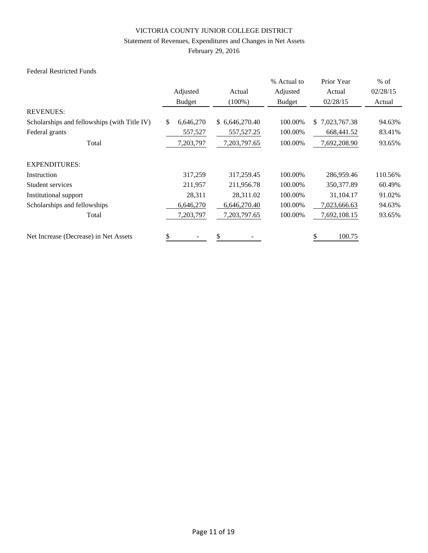#### Statement of Revenues, Expenditures and Changes in Net Assets

February 29, 2016

### Federal Restricted Funds

|                                              |                 |                | % Actual to   | Prior Year         | $%$ of   |
|----------------------------------------------|-----------------|----------------|---------------|--------------------|----------|
|                                              | Adjusted        | Actual         | Adjusted      | Actual             | 02/28/15 |
|                                              | <b>Budget</b>   | $(100\%)$      | <b>Budget</b> | 02/28/15           | Actual   |
| <b>REVENUES:</b>                             |                 |                |               |                    |          |
| Scholarships and fellowships (with Title IV) | \$<br>6,646,270 | \$6,646,270.40 | 100.00%       | 7,023,767.38<br>\$ | 94.63%   |
| Federal grants                               | 557,527         | 557, 527. 25   | 100.00%       | 668,441.52         | 83.41%   |
| Total                                        | 7,203,797       | 7,203,797.65   | 100.00%       | 7,692,208.90       | 93.65%   |
| <b>EXPENDITURES:</b>                         |                 |                |               |                    |          |
| Instruction                                  | 317,259         | 317,259.45     | 100.00%       | 286,959.46         | 110.56%  |
| Student services                             | 211,957         | 211,956.78     | 100.00%       | 350, 377.89        | 60.49%   |
| Institutional support                        | 28,311          | 28,311.02      | 100.00%       | 31,104.17          | 91.02%   |
| Scholarships and fellowships                 | 6,646,270       | 6,646,270.40   | 100.00%       | 7,023,666.63       | 94.63%   |
| Total                                        | 7,203,797       | 7,203,797.65   | 100.00%       | 7,692,108.15       | 93.65%   |
| Net Increase (Decrease) in Net Assets        | \$              | \$             |               | 100.75             |          |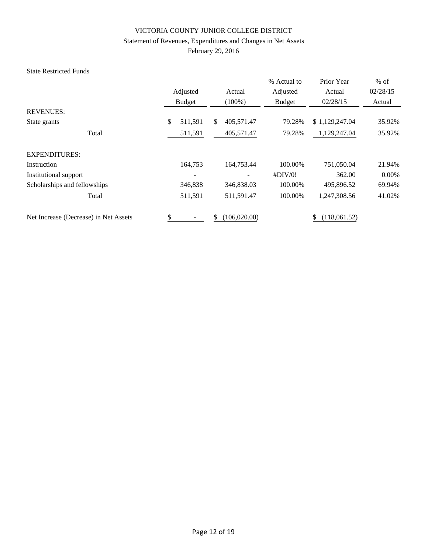#### Statement of Revenues, Expenditures and Changes in Net Assets

February 29, 2016

### State Restricted Funds

|                                       |               |                     | % Actual to   | Prior Year         | $%$ of   |
|---------------------------------------|---------------|---------------------|---------------|--------------------|----------|
|                                       | Adjusted      | Actual              | Adjusted      | Actual             | 02/28/15 |
|                                       | <b>Budget</b> | $(100\%)$           | <b>Budget</b> | 02/28/15           | Actual   |
| <b>REVENUES:</b>                      |               |                     |               |                    |          |
| State grants                          | \$<br>511,591 | 405,571.47<br>\$    | 79.28%        | \$1,129,247.04     | 35.92%   |
| Total                                 | 511,591       | 405,571.47          | 79.28%        | 1,129,247.04       | 35.92%   |
| <b>EXPENDITURES:</b>                  |               |                     |               |                    |          |
| Instruction                           | 164,753       | 164,753.44          | 100.00%       | 751,050.04         | 21.94%   |
| Institutional support                 |               |                     | #DIV/0!       | 362.00             | $0.00\%$ |
| Scholarships and fellowships          | 346,838       | 346,838.03          | 100.00%       | 495,896.52         | 69.94%   |
| Total                                 | 511,591       | 511,591.47          | 100.00%       | 1,247,308.56       | 41.02%   |
| Net Increase (Decrease) in Net Assets | \$            | \$<br>(106, 020.00) |               | (118,061.52)<br>\$ |          |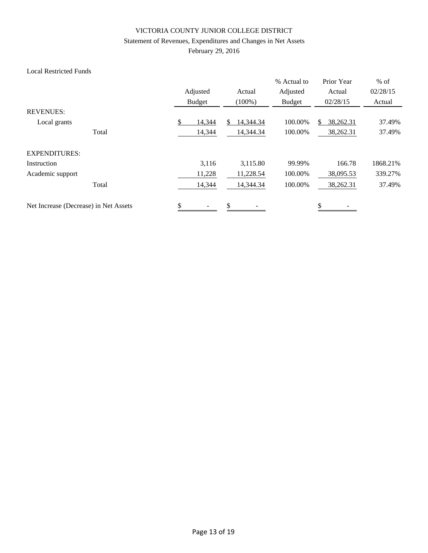#### Statement of Revenues, Expenditures and Changes in Net Assets

February 29, 2016

### Local Restricted Funds

|                                       | Adjusted<br><b>Budget</b> | Actual<br>$(100\%)$ | % Actual to<br>Adjusted<br><b>Budget</b> | Prior Year<br>Actual<br>02/28/15 | $%$ of<br>02/28/15<br>Actual |
|---------------------------------------|---------------------------|---------------------|------------------------------------------|----------------------------------|------------------------------|
| <b>REVENUES:</b>                      |                           |                     |                                          |                                  |                              |
| Local grants                          | \$<br>14,344              | 14,344.34<br>S.     | 100.00%                                  | 38,262.31<br>S.                  | 37.49%                       |
| Total                                 | 14,344                    | 14,344.34           | 100.00%                                  | 38,262.31                        | 37.49%                       |
| <b>EXPENDITURES:</b>                  |                           |                     |                                          |                                  |                              |
| Instruction                           | 3,116                     | 3,115.80            | 99.99%                                   | 166.78                           | 1868.21%                     |
| Academic support                      | 11,228                    | 11,228.54           | 100.00%                                  | 38,095.53                        | 339.27%                      |
| Total                                 | 14,344                    | 14,344.34           | 100.00%                                  | 38,262.31                        | 37.49%                       |
| Net Increase (Decrease) in Net Assets | \$                        | \$                  |                                          | \$                               |                              |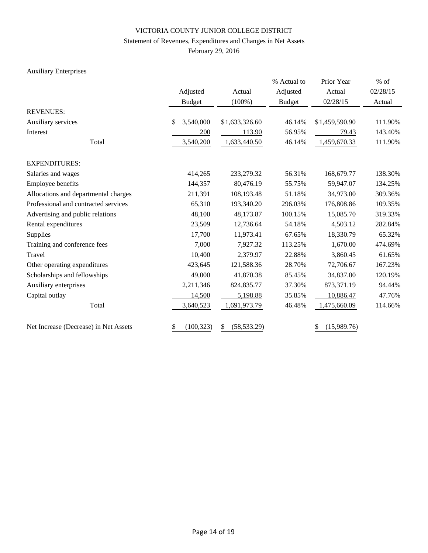#### Statement of Revenues, Expenditures and Changes in Net Assets

February 29, 2016

# Auxiliary Enterprises

|                                       |                  |                    | % Actual to   | Prior Year        | $%$ of   |
|---------------------------------------|------------------|--------------------|---------------|-------------------|----------|
|                                       | Adjusted         | Actual             | Adjusted      | Actual            | 02/28/15 |
|                                       | <b>Budget</b>    | $(100\%)$          | <b>Budget</b> | 02/28/15          | Actual   |
| <b>REVENUES:</b>                      |                  |                    |               |                   |          |
| Auxiliary services                    | \$<br>3,540,000  | \$1,633,326.60     | 46.14%        | \$1,459,590.90    | 111.90%  |
| Interest                              | 200              | 113.90             | 56.95%        | 79.43             | 143.40%  |
| Total                                 | 3,540,200        | 1,633,440.50       | 46.14%        | 1,459,670.33      | 111.90%  |
| <b>EXPENDITURES:</b>                  |                  |                    |               |                   |          |
| Salaries and wages                    | 414,265          | 233,279.32         | 56.31%        | 168,679.77        | 138.30%  |
| Employee benefits                     | 144,357          | 80,476.19          | 55.75%        | 59,947.07         | 134.25%  |
| Allocations and departmental charges  | 211,391          | 108,193.48         | 51.18%        | 34,973.00         | 309.36%  |
| Professional and contracted services  | 65,310           | 193,340.20         | 296.03%       | 176,808.86        | 109.35%  |
| Advertising and public relations      | 48,100           | 48,173.87          | 100.15%       | 15,085.70         | 319.33%  |
| Rental expenditures                   | 23,509           | 12,736.64          | 54.18%        | 4,503.12          | 282.84%  |
| <b>Supplies</b>                       | 17,700           | 11,973.41          | 67.65%        | 18,330.79         | 65.32%   |
| Training and conference fees          | 7,000            | 7,927.32           | 113.25%       | 1,670.00          | 474.69%  |
| Travel                                | 10,400           | 2,379.97           | 22.88%        | 3,860.45          | 61.65%   |
| Other operating expenditures          | 423,645          | 121,588.36         | 28.70%        | 72,706.67         | 167.23%  |
| Scholarships and fellowships          | 49,000           | 41,870.38          | 85.45%        | 34,837.00         | 120.19%  |
| Auxiliary enterprises                 | 2,211,346        | 824,835.77         | 37.30%        | 873,371.19        | 94.44%   |
| Capital outlay                        | 14,500           | 5,198.88           | 35.85%        | 10,886.47         | 47.76%   |
| Total                                 | 3,640,523        | 1,691,973.79       | 46.48%        | 1,475,660.09      | 114.66%  |
| Net Increase (Decrease) in Net Assets | (100, 323)<br>\$ | (58, 533.29)<br>\$ |               | (15,989.76)<br>\$ |          |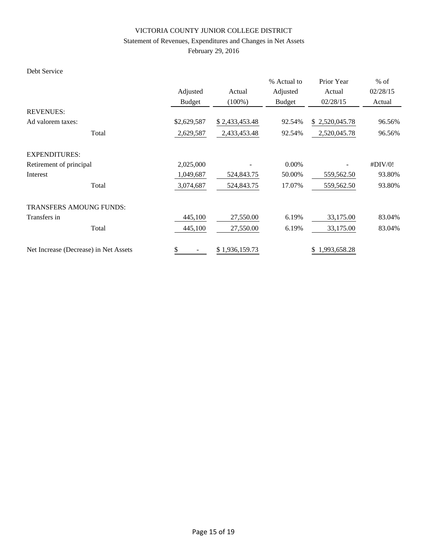#### Statement of Revenues, Expenditures and Changes in Net Assets

February 29, 2016

### Debt Service

|                                       |               |                | % Actual to   | Prior Year     | $%$ of   |
|---------------------------------------|---------------|----------------|---------------|----------------|----------|
|                                       | Adjusted      | Actual         | Adjusted      | Actual         | 02/28/15 |
|                                       | <b>Budget</b> | $(100\%)$      | <b>Budget</b> | 02/28/15       | Actual   |
| <b>REVENUES:</b>                      |               |                |               |                |          |
| Ad valorem taxes:                     | \$2,629,587   | \$2,433,453.48 | 92.54%        | \$2,520,045.78 | 96.56%   |
| Total                                 | 2,629,587     | 2,433,453.48   | 92.54%        | 2,520,045.78   | 96.56%   |
| <b>EXPENDITURES:</b>                  |               |                |               |                |          |
| Retirement of principal               | 2,025,000     |                | $0.00\%$      |                | #DIV/0!  |
| Interest                              | 1,049,687     | 524,843.75     | 50.00%        | 559,562.50     | 93.80%   |
| Total                                 | 3,074,687     | 524,843.75     | 17.07%        | 559,562.50     | 93.80%   |
| <b>TRANSFERS AMOUNG FUNDS:</b>        |               |                |               |                |          |
| Transfers in                          | 445,100       | 27,550.00      | 6.19%         | 33,175.00      | 83.04%   |
| Total                                 | 445,100       | 27,550.00      | 6.19%         | 33,175.00      | 83.04%   |
| Net Increase (Decrease) in Net Assets | \$            | \$1,936,159.73 |               | \$1,993,658.28 |          |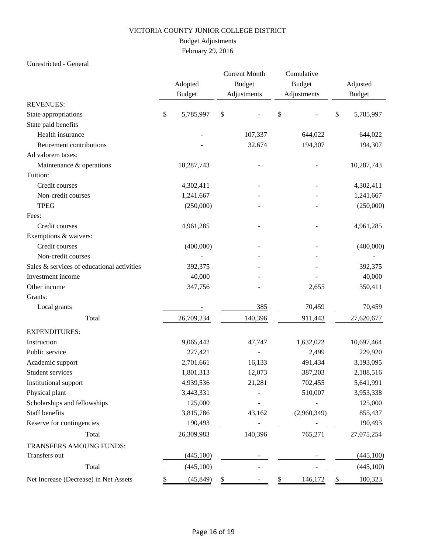# Budget Adjustments

February 29, 2016

### Unrestricted - General

|                                            |    |               | <b>Current Month</b><br><b>Budget</b> |             | Cumulative |               |          |               |
|--------------------------------------------|----|---------------|---------------------------------------|-------------|------------|---------------|----------|---------------|
|                                            |    | Adopted       |                                       |             |            | <b>Budget</b> | Adjusted |               |
|                                            |    | <b>Budget</b> |                                       | Adjustments |            | Adjustments   |          | <b>Budget</b> |
| <b>REVENUES:</b>                           |    |               |                                       |             |            |               |          |               |
| State appropriations                       | \$ | 5,785,997     | \$                                    |             | \$         |               | \$       | 5,785,997     |
| State paid benefits                        |    |               |                                       |             |            |               |          |               |
| Health insurance                           |    |               |                                       | 107,337     |            | 644,022       |          | 644,022       |
| Retirement contributions                   |    |               |                                       | 32,674      |            | 194,307       |          | 194,307       |
| Ad valorem taxes:                          |    |               |                                       |             |            |               |          |               |
| Maintenance & operations                   |    | 10,287,743    |                                       |             |            |               |          | 10,287,743    |
| Tuition:                                   |    |               |                                       |             |            |               |          |               |
| Credit courses                             |    | 4,302,411     |                                       |             |            |               |          | 4,302,411     |
| Non-credit courses                         |    | 1,241,667     |                                       |             |            |               |          | 1,241,667     |
| <b>TPEG</b>                                |    | (250,000)     |                                       |             |            |               |          | (250,000)     |
| Fees:                                      |    |               |                                       |             |            |               |          |               |
| Credit courses                             |    | 4,961,285     |                                       |             |            |               |          | 4,961,285     |
| Exemptions & waivers:                      |    |               |                                       |             |            |               |          |               |
| Credit courses                             |    | (400,000)     |                                       |             |            |               |          | (400,000)     |
| Non-credit courses                         |    |               |                                       |             |            |               |          |               |
| Sales & services of educational activities |    | 392,375       |                                       |             |            |               |          | 392,375       |
| Investment income                          |    | 40,000        |                                       |             |            |               |          | 40,000        |
| Other income                               |    | 347,756       |                                       |             |            | 2,655         |          | 350,411       |
| Grants:                                    |    |               |                                       |             |            |               |          |               |
| Local grants                               |    |               |                                       | 385         |            | 70,459        |          | 70,459        |
| Total                                      |    | 26,709,234    |                                       | 140,396     |            | 911,443       |          | 27,620,677    |
| <b>EXPENDITURES:</b>                       |    |               |                                       |             |            |               |          |               |
| Instruction                                |    | 9,065,442     |                                       | 47,747      |            | 1,632,022     |          | 10,697,464    |
| Public service                             |    | 227,421       |                                       |             |            | 2,499         |          | 229,920       |
| Academic support                           |    | 2,701,661     |                                       | 16,133      |            | 491,434       |          | 3,193,095     |
| <b>Student services</b>                    |    | 1,801,313     |                                       | 12,073      |            | 387,203       |          | 2,188,516     |
| Institutional support                      |    | 4,939,536     |                                       | 21,281      |            | 702,455       |          | 5,641,991     |
| Physical plant                             |    | 3,443,331     |                                       |             |            | 510,007       |          | 3,953,338     |
| Scholarships and fellowships               |    | 125,000       |                                       |             |            |               |          | 125,000       |
| Staff benefits                             |    | 3,815,786     |                                       | 43,162      |            | (2,960,349)   |          | 855,437       |
| Reserve for contingencies                  |    | 190,493       |                                       |             |            |               |          | 190,493       |
| Total                                      |    | 26,309,983    |                                       | 140,396     |            | 765,271       |          | 27,075,254    |
| TRANSFERS AMOUNG FUNDS:                    |    |               |                                       |             |            |               |          |               |
| Transfers out                              |    | (445,100)     |                                       |             |            |               |          | (445, 100)    |
| Total                                      |    | (445,100)     |                                       |             |            |               |          | (445,100)     |
| Net Increase (Decrease) in Net Assets      | У. | (45, 849)     | S.                                    |             | \$         | 146,172       | \$       | 100,323       |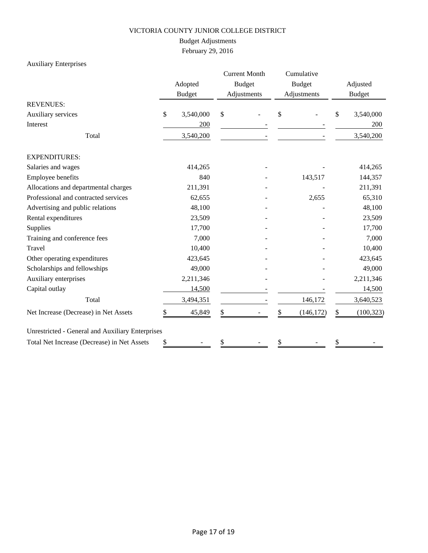# Budget Adjustments

February 29, 2016

# Auxiliary Enterprises

|                                                         |    | Adopted<br><b>Budget</b> | <b>Current Month</b><br><b>Budget</b><br>Adjustments | Cumulative<br><b>Budget</b><br>Adjustments |            | Adjusted<br><b>Budget</b> |            |
|---------------------------------------------------------|----|--------------------------|------------------------------------------------------|--------------------------------------------|------------|---------------------------|------------|
| <b>REVENUES:</b>                                        |    |                          |                                                      |                                            |            |                           |            |
| Auxiliary services                                      | \$ | 3,540,000                | \$                                                   | \$                                         |            | \$                        | 3,540,000  |
| Interest                                                |    | 200                      |                                                      |                                            |            |                           | 200        |
| Total                                                   |    | 3,540,200                |                                                      |                                            |            |                           | 3,540,200  |
| <b>EXPENDITURES:</b>                                    |    |                          |                                                      |                                            |            |                           |            |
| Salaries and wages                                      |    | 414,265                  |                                                      |                                            |            |                           | 414,265    |
| Employee benefits                                       |    | 840                      |                                                      |                                            | 143,517    |                           | 144,357    |
| Allocations and departmental charges                    |    | 211,391                  |                                                      |                                            |            |                           | 211,391    |
| Professional and contracted services                    |    | 62,655                   |                                                      |                                            | 2,655      |                           | 65,310     |
| Advertising and public relations                        |    | 48,100                   |                                                      |                                            |            |                           | 48,100     |
| Rental expenditures                                     |    | 23,509                   |                                                      |                                            |            |                           | 23,509     |
| Supplies                                                |    | 17,700                   |                                                      |                                            |            |                           | 17,700     |
| Training and conference fees                            |    | 7,000                    |                                                      |                                            |            |                           | 7,000      |
| Travel                                                  |    | 10,400                   |                                                      |                                            |            |                           | 10,400     |
| Other operating expenditures                            |    | 423,645                  |                                                      |                                            |            |                           | 423,645    |
| Scholarships and fellowships                            |    | 49,000                   |                                                      |                                            |            |                           | 49,000     |
| Auxiliary enterprises                                   |    | 2,211,346                |                                                      |                                            |            |                           | 2,211,346  |
| Capital outlay                                          |    | 14,500                   |                                                      |                                            |            |                           | 14,500     |
| Total                                                   |    | 3,494,351                |                                                      |                                            | 146,172    |                           | 3,640,523  |
| Net Increase (Decrease) in Net Assets                   |    | 45,849                   | \$                                                   |                                            | (146, 172) | \$                        | (100, 323) |
| <b>Unrestricted - General and Auxiliary Enterprises</b> |    |                          |                                                      |                                            |            |                           |            |
| Total Net Increase (Decrease) in Net Assets             | \$ |                          | \$                                                   |                                            |            | \$                        |            |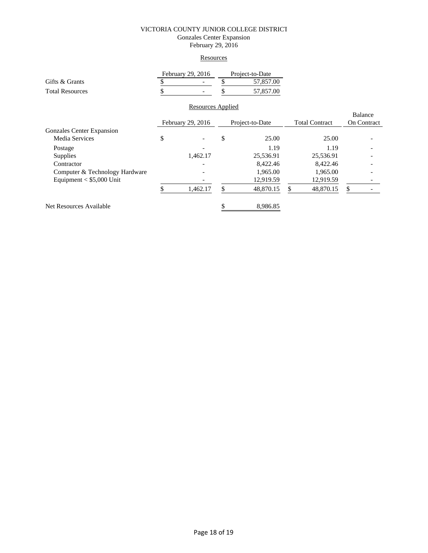### VICTORIA COUNTY JUNIOR COLLEGE DISTRICT Gonzales Center Expansion February 29, 2016

#### **Resources**

|                                  | February 29, 2016 |                   | Project-to-Date |           |                       |           |                    |  |  |
|----------------------------------|-------------------|-------------------|-----------------|-----------|-----------------------|-----------|--------------------|--|--|
| Gifts & Grants                   |                   |                   |                 | 57,857.00 |                       |           |                    |  |  |
| <b>Total Resources</b>           |                   |                   |                 | 57,857.00 |                       |           |                    |  |  |
|                                  |                   | Resources Applied |                 |           |                       |           |                    |  |  |
|                                  |                   |                   |                 |           |                       |           | <b>Balance</b>     |  |  |
|                                  | February 29, 2016 |                   | Project-to-Date |           | <b>Total Contract</b> |           | <b>On Contract</b> |  |  |
| <b>Gonzales Center Expansion</b> |                   |                   |                 |           |                       |           |                    |  |  |
| Media Services                   | \$                |                   | \$              | 25.00     |                       | 25.00     |                    |  |  |
| Postage                          |                   |                   |                 | 1.19      |                       | 1.19      |                    |  |  |
| Supplies                         |                   | 1,462.17          |                 | 25,536.91 |                       | 25,536.91 |                    |  |  |
| Contractor                       |                   |                   |                 | 8,422.46  |                       | 8,422.46  |                    |  |  |
| Computer & Technology Hardware   |                   |                   |                 | 1,965.00  |                       | 1,965.00  |                    |  |  |
| Equipment $<$ \$5,000 Unit       |                   |                   |                 | 12,919.59 |                       | 12,919.59 |                    |  |  |
|                                  |                   | 1,462.17          | \$              | 48,870.15 |                       | 48,870.15 | \$                 |  |  |
| Net Resources Available          |                   |                   |                 | 8,986.85  |                       |           |                    |  |  |